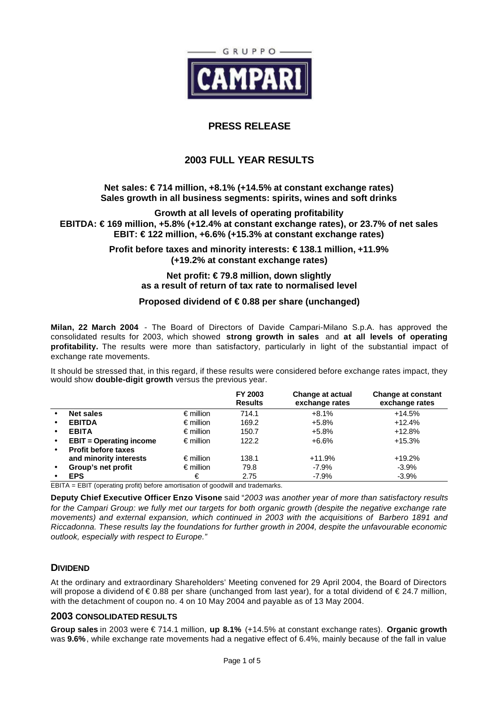

# **PRESS RELEASE**

# **2003 FULL YEAR RESULTS**

# **Net sales: € 714 million, +8.1% (+14.5% at constant exchange rates) Sales growth in all business segments: spirits, wines and soft drinks**

**Growth at all levels of operating profitability EBITDA: € 169 million, +5.8% (+12.4% at constant exchange rates), or 23.7% of net sales EBIT: € 122 million, +6.6% (+15.3% at constant exchange rates)**

> **Profit before taxes and minority interests: € 138.1 million, +11.9% (+19.2% at constant exchange rates)**

## **Net profit: € 79.8 million, down slightly as a result of return of tax rate to normalised level**

# **Proposed dividend of € 0.88 per share (unchanged)**

**Milan, 22 March 2004** - The Board of Directors of Davide Campari-Milano S.p.A. has approved the consolidated results for 2003, which showed **strong growth in sales** and **at all levels of operating profitability.** The results were more than satisfactory, particularly in light of the substantial impact of exchange rate movements.

It should be stressed that, in this regard, if these results were considered before exchange rates impact, they would show **double-digit growth** versus the previous year.

|           |                                |                    | FY 2003<br><b>Results</b> | Change at actual<br>exchange rates | <b>Change at constant</b><br>exchange rates |
|-----------|--------------------------------|--------------------|---------------------------|------------------------------------|---------------------------------------------|
|           | <b>Net sales</b>               | $\epsilon$ million | 714.1                     | $+8.1%$                            | $+14.5%$                                    |
| $\bullet$ | <b>EBITDA</b>                  | $\epsilon$ million | 169.2                     | $+5.8%$                            | $+12.4%$                                    |
| $\bullet$ | <b>EBITA</b>                   | $\epsilon$ million | 150.7                     | +5.8%                              | $+12.8%$                                    |
| $\bullet$ | <b>EBIT</b> = Operating income | $\epsilon$ million | 122.2                     | $+6.6%$                            | +15.3%                                      |
| $\bullet$ | <b>Profit before taxes</b>     |                    |                           |                                    |                                             |
|           | and minority interests         | $\epsilon$ million | 138.1                     | $+11.9%$                           | $+19.2%$                                    |
| $\bullet$ | Group's net profit             | $\epsilon$ million | 79.8                      | $-7.9\%$                           | $-3.9%$                                     |
| -----     | <b>EPS</b><br>.<br>----        | €<br>$\sim$        | 2.75                      | $-7.9\%$                           | $-3.9\%$                                    |

EBITA = EBIT (operating profit) before amortisation of goodwill and trademarks.

**Deputy Chief Executive Officer Enzo Visone** said "*2003 was another year of more than satisfactory results for the Campari Group: we fully met our targets for both organic growth (despite the negative exchange rate movements) and external expansion, which continued in 2003 with the acquisitions of Barbero 1891 and Riccadonna. These results lay the foundations for further growth in 2004, despite the unfavourable economic outlook, especially with respect to Europe."*

# **DIVIDEND**

At the ordinary and extraordinary Shareholders' Meeting convened for 29 April 2004, the Board of Directors will propose a dividend of € 0.88 per share (unchanged from last year), for a total dividend of € 24.7 million, with the detachment of coupon no. 4 on 10 May 2004 and payable as of 13 May 2004.

# **2003 CONSOLIDATED RESULTS**

**Group sales** in 2003 were € 714.1 million, **up 8.1%** (+14.5% at constant exchange rates). **Organic growth** was **9.6%**, while exchange rate movements had a negative effect of 6.4%, mainly because of the fall in value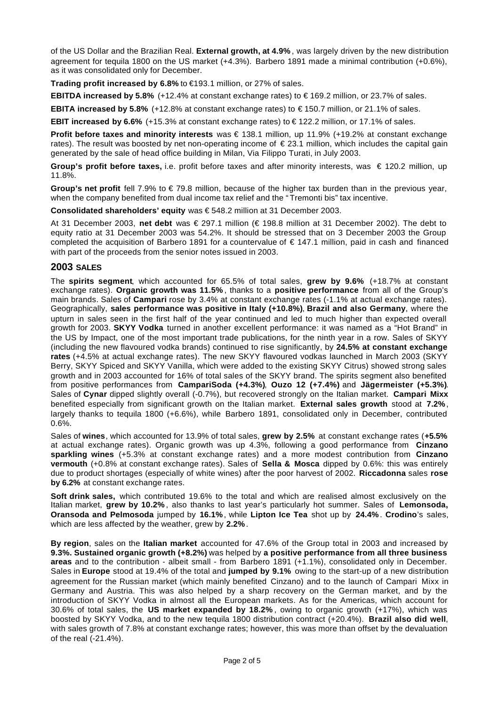of the US Dollar and the Brazilian Real. **External growth, at 4.9%** , was largely driven by the new distribution agreement for tequila 1800 on the US market (+4.3%). Barbero 1891 made a minimal contribution (+0.6%), as it was consolidated only for December.

**Trading profit increased by 6.8%** to €193.1 million, or 27% of sales.

**EBITDA increased by 5.8%** (+12.4% at constant exchange rates) to € 169.2 million, or 23.7% of sales.

**EBITA increased by 5.8%** (+12.8% at constant exchange rates) to € 150.7 million, or 21.1% of sales.

**EBIT increased by 6.6%** (+15.3% at constant exchange rates) to € 122.2 million, or 17.1% of sales.

**Profit before taxes and minority interests** was € 138.1 million, up 11.9% (+19.2% at constant exchange rates). The result was boosted by net non-operating income of  $\epsilon$  23.1 million, which includes the capital gain generated by the sale of head office building in Milan, Via Filippo Turati, in July 2003.

**Group's profit before taxes,** i.e. profit before taxes and after minority interests, was € 120.2 million, up 11.8%.

**Group's net profit** fell 7.9% to  $\in$  79.8 million, because of the higher tax burden than in the previous year, when the company benefited from dual income tax relief and the " Tremonti bis" tax incentive.

**Consolidated shareholders' equity** was € 548.2 million at 31 December 2003.

At 31 December 2003, **net debt** was € 297.1 million (€ 198.8 million at 31 December 2002). The debt to equity ratio at 31 December 2003 was 54.2%. It should be stressed that on 3 December 2003 the Group completed the acquisition of Barbero 1891 for a countervalue of € 147.1 million, paid in cash and financed with part of the proceeds from the senior notes issued in 2003.

# **2003 SALES**

The **spirits segment**, which accounted for 65.5% of total sales, **grew by 9.6%** (+18.7% at constant exchange rates). **Organic growth was 11.5%** , thanks to a **positive performance** from all of the Group's main brands. Sales of **Campari** rose by 3.4% at constant exchange rates (-1.1% at actual exchange rates). Geographically, **sales performance was positive in Italy (+10.8%)**, **Brazil and also Germany**, where the upturn in sales seen in the first half of the year continued and led to much higher than expected overall growth for 2003. **SKYY Vodka** turned in another excellent performance: it was named as a "Hot Brand" in the US by Impact, one of the most important trade publications, for the ninth year in a row. Sales of SKYY (including the new flavoured vodka brands) continued to rise significantly, by **24.5% at constant exchange rates** (+4.5% at actual exchange rates). The new SKYY flavoured vodkas launched in March 2003 (SKYY Berry, SKYY Spiced and SKYY Vanilla, which were added to the existing SKYY Citrus) showed strong sales growth and in 2003 accounted for 16% of total sales of the SKYY brand. The spirits segment also benefited from positive performances from **CampariSoda (+4.3%)**, **Ouzo 12 (+7.4%)** and **Jägermeister (+5.3%)**. Sales of **Cynar** dipped slightly overall (-0.7%), but recovered strongly on the Italian market. **Campari Mixx** benefited especially from significant growth on the Italian market. **External sales growth** stood at **7.2%**, largely thanks to tequila 1800 (+6.6%), while Barbero 1891, consolidated only in December, contributed 0.6%.

Sales of **wines**, which accounted for 13.9% of total sales, **grew by 2.5%** at constant exchange rates (**+5.5%** at actual exchange rates). Organic growth was up 4.3%, following a good performance from **Cinzano sparkling wines** (+5.3% at constant exchange rates) and a more modest contribution from **Cinzano vermouth** (+0.8% at constant exchange rates). Sales of **Sella & Mosca** dipped by 0.6%: this was entirely due to product shortages (especially of white wines) after the poor harvest of 2002. **Riccadonna** sales **rose by 6.2%** at constant exchange rates.

**Soft drink sales,** which contributed 19.6% to the total and which are realised almost exclusively on the Italian market, **grew by 10.2%** , also thanks to last year's particularly hot summer. Sales of **Lemonsoda, Oransoda and Pelmosoda** jumped by **16.1%**, while **Lipton Ice Tea** shot up by **24.4%**. **Crodino**'s sales, which are less affected by the weather, grew by **2.2%**.

**By region**, sales on the **Italian market** accounted for 47.6% of the Group total in 2003 and increased by **9.3%. Sustained organic growth (+8.2%)** was helped by **a positive performance from all three business areas** and to the contribution - albeit small - from Barbero 1891 (+1.1%), consolidated only in December. Sales in **Europe** stood at 19.4% of the total and **jumped by 9.1%** owing to the start-up of a new distribution agreement for the Russian market (which mainly benefited Cinzano) and to the launch of Campari Mixx in Germany and Austria. This was also helped by a sharp recovery on the German market, and by the introduction of SKYY Vodka in almost all the European markets. As for the Americas, which account for 30.6% of total sales, the **US market expanded by 18.2%** , owing to organic growth (+17%), which was boosted by SKYY Vodka, and to the new tequila 1800 distribution contract (+20.4%). **Brazil also did well**, with sales growth of 7.8% at constant exchange rates; however, this was more than offset by the devaluation of the real (-21.4%).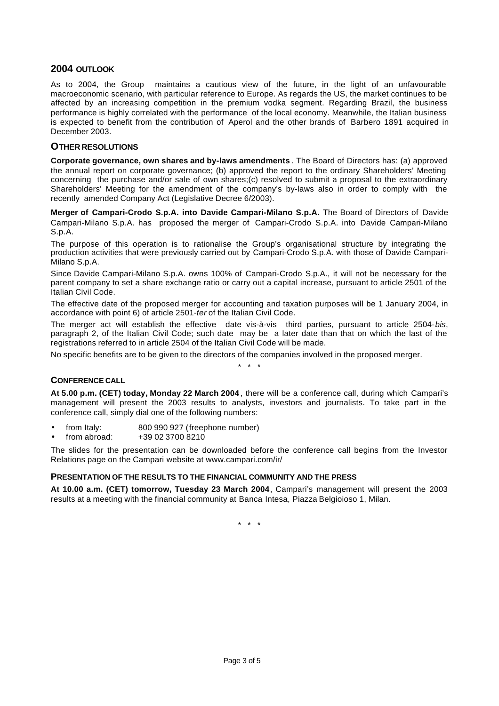# **2004 OUTLOOK**

As to 2004, the Group maintains a cautious view of the future, in the light of an unfavourable macroeconomic scenario, with particular reference to Europe. As regards the US, the market continues to be affected by an increasing competition in the premium vodka segment. Regarding Brazil, the business performance is highly correlated with the performance of the local economy. Meanwhile, the Italian business is expected to benefit from the contribution of Aperol and the other brands of Barbero 1891 acquired in December 2003.

# **OTHER RESOLUTIONS**

**Corporate governance, own shares and by-laws amendments** . The Board of Directors has: (a) approved the annual report on corporate governance; (b) approved the report to the ordinary Shareholders' Meeting concerning the purchase and/or sale of own shares;(c) resolved to submit a proposal to the extraordinary Shareholders' Meeting for the amendment of the company's by-laws also in order to comply with the recently amended Company Act (Legislative Decree 6/2003).

**Merger of Campari-Crodo S.p.A. into Davide Campari-Milano S.p.A.** The Board of Directors of Davide Campari-Milano S.p.A. has proposed the merger of Campari-Crodo S.p.A. into Davide Campari-Milano S.p.A.

The purpose of this operation is to rationalise the Group's organisational structure by integrating the production activities that were previously carried out by Campari-Crodo S.p.A. with those of Davide Campari-Milano S.p.A.

Since Davide Campari-Milano S.p.A. owns 100% of Campari-Crodo S.p.A., it will not be necessary for the parent company to set a share exchange ratio or carry out a capital increase, pursuant to article 2501 of the Italian Civil Code.

The effective date of the proposed merger for accounting and taxation purposes will be 1 January 2004, in accordance with point 6) of article 2501-*ter* of the Italian Civil Code.

The merger act will establish the effective date vis-à-vis third parties, pursuant to article 2504-*bis*, paragraph 2, of the Italian Civil Code; such date may be a later date than that on which the last of the registrations referred to in article 2504 of the Italian Civil Code will be made.

\* \* \*

No specific benefits are to be given to the directors of the companies involved in the proposed merger.

### **CONFERENCE CALL**

**At 5.00 p.m. (CET) today, Monday 22 March 2004** , there will be a conference call, during which Campari's management will present the 2003 results to analysts, investors and journalists. To take part in the conference call, simply dial one of the following numbers:

• from Italy: 800 990 927 (freephone number)

• from abroad: +39 02 3700 8210

The slides for the presentation can be downloaded before the conference call begins from the Investor Relations page on the Campari website at www.campari.com/ir/

### **PRESENTATION OF THE RESULTS TO THE FINANCIAL COMMUNITY AND THE PRESS**

**At 10.00 a.m. (CET) tomorrow, Tuesday 23 March 2004**, Campari's management will present the 2003 results at a meeting with the financial community at Banca Intesa, Piazza Belgioioso 1, Milan.

\* \* \*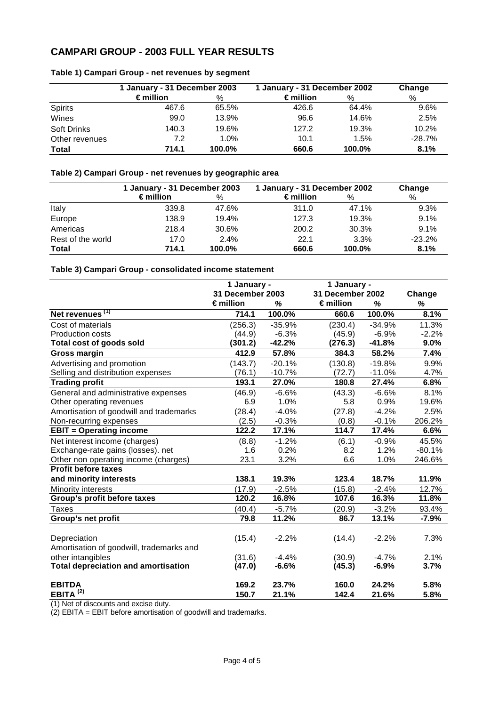# **CAMPARI GROUP - 2003 FULL YEAR RESULTS**

|                    | 1 January - 31 December 2003 |        | 1 January - 31 December 2002 |        | Change   |  |
|--------------------|------------------------------|--------|------------------------------|--------|----------|--|
|                    | $\epsilon$ million           | %      | $\epsilon$ million           | %      | %        |  |
| <b>Spirits</b>     | 467.6                        | 65.5%  | 426.6                        | 64.4%  | 9.6%     |  |
| Wines              | 99.0                         | 13.9%  | 96.6                         | 14.6%  | 2.5%     |  |
| <b>Soft Drinks</b> | 140.3                        | 19.6%  | 127.2                        | 19.3%  | 10.2%    |  |
| Other revenues     | 7.2                          | 1.0%   | 10.1                         | 1.5%   | $-28.7%$ |  |
| Total              | 714.1                        | 100.0% | 660.6                        | 100.0% | 8.1%     |  |

# **Table 1) Campari Group - net revenues by segment**

# **Table 2) Campari Group - net revenues by geographic area**

|                   | 1 January - 31 December 2003 |         | 1 January - 31 December 2002 | Change |          |
|-------------------|------------------------------|---------|------------------------------|--------|----------|
|                   | $\epsilon$ million           | $\%$    | ∈million                     | %      | $\%$     |
| Italy             | 339.8                        | 47.6%   | 311.0                        | 47.1%  | 9.3%     |
| Europe            | 138.9                        | 19.4%   | 127.3                        | 19.3%  | 9.1%     |
| Americas          | 218.4                        | 30.6%   | 200.2                        | 30.3%  | 9.1%     |
| Rest of the world | 17.0                         | $2.4\%$ | 22.1                         | 3.3%   | $-23.2%$ |
| <b>Total</b>      | 714.1                        | 100.0%  | 660.6                        | 100.0% | 8.1%     |

# **Table 3) Campari Group - consolidated income statement**

|                                            | 1 January -      |          | 1 January -      |          |          |
|--------------------------------------------|------------------|----------|------------------|----------|----------|
|                                            | 31 December 2003 |          | 31 December 2002 |          | Change   |
|                                            | €million         | %        | €million         | %        | %        |
| Net revenues <sup>(1)</sup>                | 714.1            | 100.0%   | 660.6            | 100.0%   | 8.1%     |
| Cost of materials                          | (256.3)          | $-35.9%$ | (230.4)          | $-34.9%$ | 11.3%    |
| Production costs                           | (44.9)           | $-6.3%$  | (45.9)           | $-6.9%$  | $-2.2%$  |
| Total cost of goods sold                   | (301.2)          | $-42.2%$ | (276.3)          | $-41.8%$ | 9.0%     |
| <b>Gross margin</b>                        | 412.9            | 57.8%    | 384.3            | 58.2%    | 7.4%     |
| Advertising and promotion                  | (143.7)          | $-20.1%$ | (130.8)          | $-19.8%$ | 9.9%     |
| Selling and distribution expenses          | (76.1)           | $-10.7%$ | (72.7)           | $-11.0%$ | 4.7%     |
| <b>Trading profit</b>                      | 193.1            | 27.0%    | 180.8            | 27.4%    | 6.8%     |
| General and administrative expenses        | (46.9)           | $-6.6%$  | (43.3)           | $-6.6%$  | 8.1%     |
| Other operating revenues                   | 6.9              | 1.0%     | 5.8              | 0.9%     | 19.6%    |
| Amortisation of goodwill and trademarks    | (28.4)           | $-4.0%$  | (27.8)           | $-4.2%$  | 2.5%     |
| Non-recurring expenses                     | (2.5)            | $-0.3%$  | (0.8)            | $-0.1%$  | 206.2%   |
| <b>EBIT = Operating income</b>             | 122.2            | 17.1%    | 114.7            | 17.4%    | 6.6%     |
| Net interest income (charges)              | (8.8)            | $-1.2%$  | (6.1)            | $-0.9%$  | 45.5%    |
| Exchange-rate gains (losses). net          | 1.6              | 0.2%     | 8.2              | 1.2%     | $-80.1%$ |
| Other non operating income (charges)       | 23.1             | 3.2%     | 6.6              | 1.0%     | 246.6%   |
| <b>Profit before taxes</b>                 |                  |          |                  |          |          |
| and minority interests                     | 138.1            | 19.3%    | 123.4            | 18.7%    | 11.9%    |
| <b>Minority interests</b>                  | (17.9)           | $-2.5%$  | (15.8)           | $-2.4%$  | 12.7%    |
| Group's profit before taxes                | 120.2            | 16.8%    | 107.6            | 16.3%    | 11.8%    |
| Taxes                                      | (40.4)           | $-5.7%$  | (20.9)           | $-3.2%$  | 93.4%    |
| Group's net profit                         | 79.8             | 11.2%    | 86.7             | 13.1%    | $-7.9%$  |
|                                            |                  |          |                  |          |          |
| Depreciation                               | (15.4)           | $-2.2%$  | (14.4)           | $-2.2%$  | 7.3%     |
| Amortisation of goodwill, trademarks and   |                  |          |                  |          |          |
| other intangibles                          | (31.6)           | $-4.4%$  | (30.9)           | $-4.7%$  | 2.1%     |
| <b>Total depreciation and amortisation</b> | (47.0)           | $-6.6%$  | (45.3)           | $-6.9%$  | 3.7%     |
| <b>EBITDA</b>                              | 169.2            | 23.7%    | 160.0            | 24.2%    | 5.8%     |
| EBITA $(2)$                                | 150.7            | 21.1%    | 142.4            | 21.6%    | 5.8%     |

(1) Net of discounts and excise duty.

(2) EBITA = EBIT before amortisation of goodwill and trademarks.